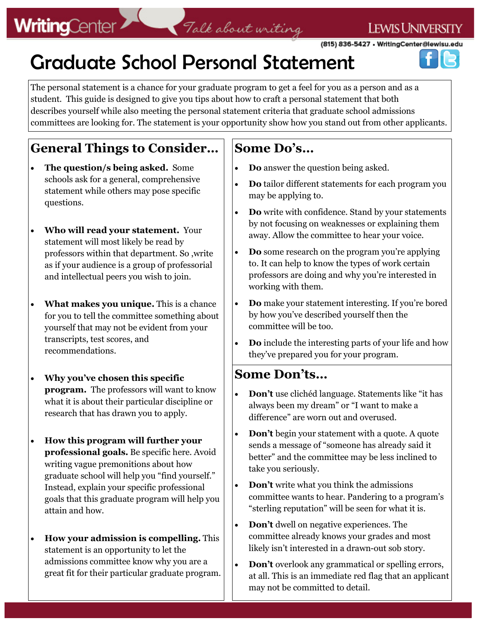# **WritingCenter**

# Talk about writing

(815) 836-5427 . WritingCenter@lewisu.edu

**LEWIS UNIVERSITY** 

# Graduate School Personal Statement

The personal statement is a chance for your graduate program to get a feel for you as a person and as a student. This guide is designed to give you tips about how to craft a personal statement that both describes yourself while also meeting the personal statement criteria that graduate school admissions committees are looking for. The statement is your opportunity show how you stand out from other applicants.

### **General Things to Consider…**

- **The question/s being asked.** Some schools ask for a general, comprehensive statement while others may pose specific questions.
- **Who will read your statement.** Your statement will most likely be read by professors within that department. So ,write as if your audience is a group of professorial and intellectual peers you wish to join.
- **What makes you unique.** This is a chance for you to tell the committee something about yourself that may not be evident from your transcripts, test scores, and recommendations.
- **Why you've chosen this specific program.** The professors will want to know what it is about their particular discipline or research that has drawn you to apply.
- **How this program will further your professional goals.** Be specific here. Avoid writing vague premonitions about how graduate school will help you "find yourself." Instead, explain your specific professional goals that this graduate program will help you attain and how.
- **How your admission is compelling.** This statement is an opportunity to let the admissions committee know why you are a great fit for their particular graduate program.

### **Some Do's…**

- **Do** answer the question being asked.
- **Do** tailor different statements for each program you may be applying to.
- **Do** write with confidence. Stand by your statements by not focusing on weaknesses or explaining them away. Allow the committee to hear your voice.
- **Do** some research on the program you're applying to. It can help to know the types of work certain professors are doing and why you're interested in working with them.
- **Do** make your statement interesting. If you're bored by how you've described yourself then the committee will be too.
- **Do** include the interesting parts of your life and how they've prepared you for your program.

### **Some Don'ts…**

- **Don't** use clichéd language. Statements like "it has always been my dream" or "I want to make a difference" are worn out and overused.
- **Don't** begin your statement with a quote. A quote sends a message of "someone has already said it better" and the committee may be less inclined to take you seriously.
- **Don't** write what you think the admissions committee wants to hear. Pandering to a program's "sterling reputation" will be seen for what it is.
- **Don't** dwell on negative experiences. The committee already knows your grades and most likely isn't interested in a drawn-out sob story.
- **Don't** overlook any grammatical or spelling errors, at all. This is an immediate red flag that an applicant may not be committed to detail.